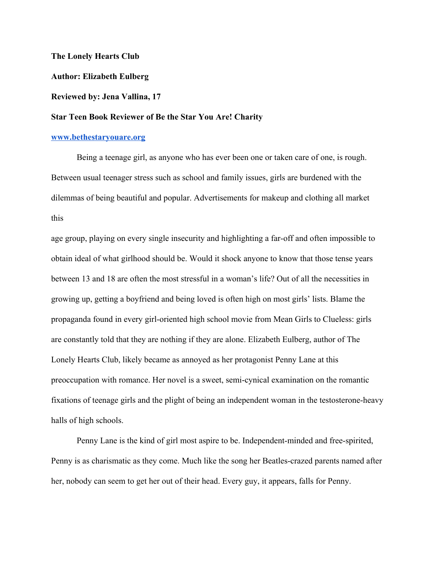## **The Lonely Hearts Club**

**Author: Elizabeth Eulberg**

## **Reviewed by: Jena Vallina, 17**

## **Star Teen Book Reviewer of Be the Star You Are! Charity**

## **[www.bethestaryouare.org](http://www.bethestaryouare.org/)**

Being a teenage girl, as anyone who has ever been one or taken care of one, is rough. Between usual teenager stress such as school and family issues, girls are burdened with the dilemmas of being beautiful and popular. Advertisements for makeup and clothing all market this

age group, playing on every single insecurity and highlighting a far-off and often impossible to obtain ideal of what girlhood should be. Would it shock anyone to know that those tense years between 13 and 18 are often the most stressful in a woman's life? Out of all the necessities in growing up, getting a boyfriend and being loved is often high on most girls' lists. Blame the propaganda found in every girl-oriented high school movie from Mean Girls to Clueless: girls are constantly told that they are nothing if they are alone. Elizabeth Eulberg, author of The Lonely Hearts Club, likely became as annoyed as her protagonist Penny Lane at this preoccupation with romance. Her novel is a sweet, semi-cynical examination on the romantic fixations of teenage girls and the plight of being an independent woman in the testosterone-heavy halls of high schools.

Penny Lane is the kind of girl most aspire to be. Independent-minded and free-spirited, Penny is as charismatic as they come. Much like the song her Beatles-crazed parents named after her, nobody can seem to get her out of their head. Every guy, it appears, falls for Penny.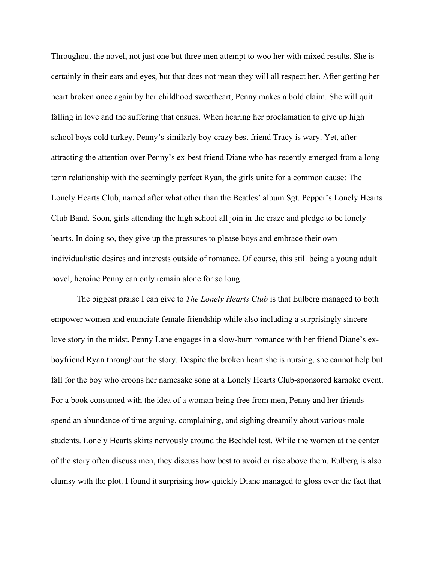Throughout the novel, not just one but three men attempt to woo her with mixed results. She is certainly in their ears and eyes, but that does not mean they will all respect her. After getting her heart broken once again by her childhood sweetheart, Penny makes a bold claim. She will quit falling in love and the suffering that ensues. When hearing her proclamation to give up high school boys cold turkey, Penny's similarly boy-crazy best friend Tracy is wary. Yet, after attracting the attention over Penny's ex-best friend Diane who has recently emerged from a longterm relationship with the seemingly perfect Ryan, the girls unite for a common cause: The Lonely Hearts Club, named after what other than the Beatles' album Sgt. Pepper's Lonely Hearts Club Band. Soon, girls attending the high school all join in the craze and pledge to be lonely hearts. In doing so, they give up the pressures to please boys and embrace their own individualistic desires and interests outside of romance. Of course, this still being a young adult novel, heroine Penny can only remain alone for so long.

The biggest praise I can give to *The Lonely Hearts Club* is that Eulberg managed to both empower women and enunciate female friendship while also including a surprisingly sincere love story in the midst. Penny Lane engages in a slow-burn romance with her friend Diane's exboyfriend Ryan throughout the story. Despite the broken heart she is nursing, she cannot help but fall for the boy who croons her namesake song at a Lonely Hearts Club-sponsored karaoke event. For a book consumed with the idea of a woman being free from men, Penny and her friends spend an abundance of time arguing, complaining, and sighing dreamily about various male students. Lonely Hearts skirts nervously around the Bechdel test. While the women at the center of the story often discuss men, they discuss how best to avoid or rise above them. Eulberg is also clumsy with the plot. I found it surprising how quickly Diane managed to gloss over the fact that